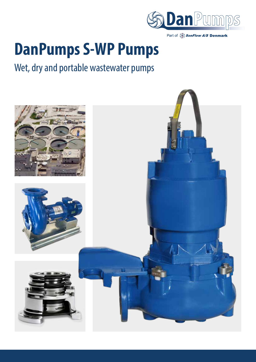



# **DanPumps S-WP Pumps**

# Wet, dry and portable wastewater pumps

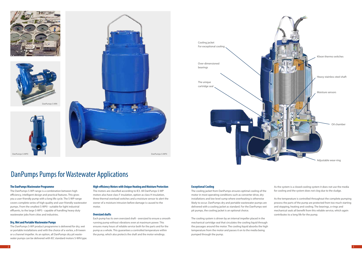







# **The DanPumps Wastewater Programme**

The DanPumps S-WP-range is a combination between high efficiency, intelligent design and practical features. This gives you a user-friendly pump with a long life cycle. The S-WP-range covers complete series of high quality and user-friendly wastewater pumps. From the smallest S-WP0 - suitable for light industrial effluents, to the large S-WP5 - capable of handling heavy duty wastewater jobs from cities and industries.

# **Dry, Wet and Portable Wastewater Pumps**

The DanPumps S-WP product programme is delivered for dry, wet or portable installations and with the choice of a vortex, a B-tween or a channel impeller. As an option, all DanPumps dry pit wastewater pumps can be delivered with IEC standard motors S-WN type.

#### **High-efficiency Motors with Unique Heating and Moisture Protection**

The motors are classified according to IE3. All DanPumps S-WP motors also have class F insulation, option as class H insulation, three thermal overload switches and a moisture sensor to alert the owner of a moisture intrusion before damage is caused to the motor.

# **Oversized shafts**

Each pump has its own oversized shaft - oversized to ensure a smooth running pump without vibrations even at maximum power. This ensures many hours of reliable service both for the parts and for the pump as a whole. This guarantees a controlled temperature within the pump, which also protects the shaft and the motor windings.

# DanPumps Pumps for Wastewater Applications



#### **Exceptional Cooling**

The cooling jacket from DanPumps ensures optimal cooling of the motor in most operating conditions such as converter drive, dry installations and low level sump where overheating is otherwise likely to occur. DanPumps dry and portable wastewater pumps are delivered with a cooling jacket as standard. For the DanPumps wet pit pumps, the cooling jacket is an optional choice.

The cooling system is driven by an internal impeller placed in the mechanical cartridge seal that circulates the cooling liquid through the passages around the motor. The cooling liquid absorbs the high temperature from the motor and passes it on to the media being pumped through the pump.

As the system is a closed cooling system it does not use the media for cooling and the system does not clog due to the sludge.

As the temperature is controlled throughout the complete pumping process the parts of the pump are protected from too much starting and stopping, heating and cooling. The bearings, o-rings and mechanical seals all benefit from this reliable service, which again contributes to a long life for the pump.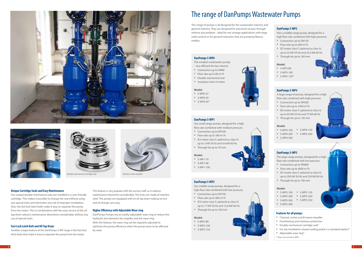## **Unique Cartridge Seals and Easy Maintenance**

Our unique double-mechanical seals are installed in a user-friendly cartridge. This makes it possible to change the seal without using any special tools and eliminates any risk of improper installation. Also, the fast lock latch bolts make it easy to separate the pump from the motor. This in combination with the easy service of the oil tap drain reduces maintenance downtime considerably without any use of special tools.

### **Fast Lock Latch Bolt and Oil Tap Drain**

Another unique feature of the DanPumps S-WP range is the fast lock latch bolts that make it easy to separate the pump from the motor.

This feature is very popular with the service staff, as it reduces maintenance downtime considerably. The locks are made of stainless steel. The pumps are equipped with an oil tap drain making service and oil change very easy.

### **Higher Efficiency with Adjustable Wear-ring**

DanPumps Pumps use an axially adjustable wear-ring to reduce the hydraulic loss between the impeller and the wear-ring. With this feature, the wear-ring can be regularly adjusted to optimize the pump efficiency when the pump starts to be affected by wear.









This range of pumps is all designed for the wastewater industry and general industry. They are designed for practical's to pass through without any problem - ideal for raw sewage applications with large solid content or for general industries that are pumping fibrous medias.

# The range of DanPumps Wastewater Pumps



- Channel, vortex and B-tween impeller
- Overheating and moisture protection
- Double mechanical cartridge seal\*
- For dry installation closed cooling jacket is a standard option\*
- Adjustable wear ring\*
- \* Does not include S-WP0

#### **DanPumps S-WP0**

- S-WP5-100 S-WP5-150
- 
- S-WP5-200 S-WP5-250
- S-WP5-300 S-WP5-350
- S-WP5-400

The smallest wastewater pumps - very efficient for low volume.

- Connection up to DN80
- Flow rate up to 68 m<sup>3</sup>/h
- Double mechanical seal
- Insulation class H motor

#### **Model:**

- S-WP0-37
- S-WP0-50
- S-WP0-65\*

# **DanPumps S-WP3**

Also a middle range pump, designed for a high flow rate combined with high pressure.

- Connection up to DN150
- Flow rate up to 600 m<sup>3</sup>/h
- IE3 motor class F, optional as class H, up to 22 kW 50 Hz and 23,5 kW 60 Hz
- Through let up to 100 mm

#### **Model:**

- S-WP3-80
- S-WP3-100
- S-WP3-150\*

#### **DanPumps S-WP1**

Our small range pumps, designed for a high flow rate combined with medium pressure.

- Connection up to DN100
- Flow rate up to 180 m<sup>3</sup>/h
- IE3 motor class F, optional as class H, up to 3 kW 50 Hz and 4,4 kW 60 Hz
- Through let up to 70 mm

#### **Model:**

- S-WP1-70
- S-WP1-80
- S-WP1-100

# **DanPumps S-WP4**

A large range of pumps, designed for a high flow rate combined with high pressure.

- Connection up to DN300
- Flow rate up to 1600 m<sup>3</sup>/h
- IE3 motor class F, optional as class H, up to 65 kW 50 Hz and 75 kW 60 Hz
- Through let up to 130 mm

#### **Model:**

- S-WP4-100 S-WP4-150
- S-WP4-200 S-WP4-250
- S-WP4-300

#### **DanPumps S-WP2**

Our middle range pumps, designed for a high flow rate combined with low pressure.

- Connection up to DN150
- Flow rate up to 380 m<sup>3</sup>/h
- IE3 motor class F, optional as class H, up to 11 kW 50 Hz and 12,6 kW 60 Hz
- Through let up to 100 mm

#### **Model:**

- S-WP2-80
- S-WP2-100
- S-WP2-150



# **DanPumps S-WP5**

The large range pumps, designed for a high flow rate combined with low pressure.

- Connection up to DN600
- Flow rate up to 4000 m<sup>3</sup>/h
- IE3 motor class F, optional as class H, up to 200 kW 50 Hz and 230 kW 60 Hz
- Through let up to 100 mm

#### **Model:**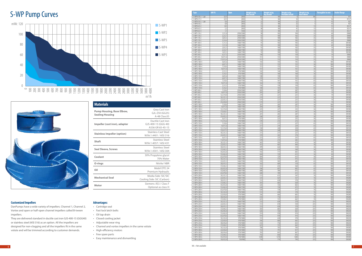| Type                            | kW <sub>P2</sub>       | Rpm                    | Weight in kg<br><b>Wet install</b> | <b>Weight in kg</b><br><b>Drv</b> install | <b>Weight in kg</b><br><b>Portable install</b> | Weight in kg<br>Base elbow        | <b>Throughlet in mm</b> | <b>Outlet flange</b>         |
|---------------------------------|------------------------|------------------------|------------------------------------|-------------------------------------------|------------------------------------------------|-----------------------------------|-------------------------|------------------------------|
| S-WP0-30-2 - 1.ph               | 0,35                   | 2850                   | NA                                 | <b>NA</b>                                 | $6 \mid$                                       | <b>NA</b>                         | 5                       | R1'                          |
| S-WP0-37-2                      | 0,55                   | 2850                   | 14                                 | NA                                        | 14                                             | -5                                | 36                      | R11/2'                       |
| S-WP0-50-2 - 1.ph<br>S-WP0-50-2 | 0,8<br>0,8             | 2850<br>2850           | 22<br>22                           | <b>NA</b><br>NA                           | 22<br>22                                       | $5\overline{)}$<br>5 <sup>1</sup> | 45<br>45                | R2'<br>R2'                   |
| S-WP0-65-2                      | 1,85                   | 2850                   | 33                                 | <b>NA</b>                                 | 34                                             | 13                                | 55                      | R21/2'                       |
| S-WP0-65-2                      | 2,2                    | 2850                   | 40                                 | <b>NA</b>                                 | 41                                             | 13                                | 55                      | R21/2'                       |
| S-WP0-65-4                      | 1,1                    | 1430                   | 32                                 | <b>NA</b>                                 | 33                                             | 13                                | 55                      | R21/2'                       |
| S-WP1-70-2                      | 1,5/1,8                | 2930/3500              | 90                                 | 102                                       | 104                                            | 35                                | 60                      | DN80                         |
| S-WP1-70-2                      | 2,2/2,7                | 2930/3500              | 92                                 | 100                                       | 102                                            | 35                                | 60                      | DN80                         |
| S-WP1-70-2                      | 3,0/3,5                | 2930/3500              | 92                                 | 100                                       | 102                                            | 35                                | 60                      | DN80                         |
| S-WP1-70-2<br>S-WP1-80-4        | 3,5/4,4<br>1,1/1,3     | 2930/3500<br>1460/1700 | 95<br>95                           | 102<br>102                                | 105<br>105                                     | 35<br>35                          | 60<br>60                | DN80<br><b>DN100</b>         |
| S-WP1-80-4                      | 1,5/1,8                | 1460/1700              | 92                                 | 100                                       | 102                                            | 35                                | 60                      | <b>DN100</b>                 |
| S-WP1-80-4                      | 2,0/2,3                | 1460/1700              | 92                                 | 100                                       | 102                                            | 35                                | 70                      | <b>DN100</b>                 |
| S-WP1-80-4                      | 2,5/2,7                | 1460/1700              | 92                                 | 100                                       | 102                                            | 35                                | 70                      | <b>DN100</b>                 |
| S-WP1-80-4                      | 3,0/3,5                | 1460/1700              | 92                                 | 100                                       | 102                                            | 35                                | 70                      | <b>DN100</b>                 |
| S-WP2-80-2                      | 6,5/7,3                | 2930/3500              | 148                                | 150                                       | 150                                            | 35                                | 70                      | DN80                         |
| S-WP2-80-2                      | 9,0/11,0               | 2930/3500              | 151                                | 153                                       | 154                                            | 35                                | 70                      | DN80                         |
| S-WP2-80-2                      | 11,0/12,6              | 2930/3500              | 151                                | 153                                       | 154                                            | 35                                | 70                      | DN80                         |
| S-WP2-100-4<br>S-WP2-100-4      | 4,0/5,6<br>6,0/7,3     | 1460/1700<br>1460/1700 | 143<br>151                         | 145<br>153                                | 145<br>153                                     | 36<br>36                          | 100<br>100              | <b>DN100</b><br><b>DN100</b> |
| S-WP2-100-4                     | 7,5/8,6                | 1460/1700              | 151                                | 153                                       | 153                                            | 36                                | 100                     | <b>DN100</b>                 |
| S-WP2-100-4                     | 9,0/11,0               | 1460/1700              | 157                                | 161                                       | 161                                            | 36                                | 100                     | <b>DN100</b>                 |
| S-WP2-100-6                     | 2,5/3,3                | 970/1000               | 142                                | 144                                       | 144                                            | 36                                | 100                     | <b>DN100</b>                 |
| S-WP2-100-6                     | 5,5/6,3                | 970/1000               | 156                                | 160                                       | 160                                            | 36                                | 100                     | <b>DN100</b>                 |
| S-WP2-150-4                     | 4,0/5,6                | 1460/1700              | 148                                | 150                                       | 150                                            | 65                                | 100                     | DN150                        |
| S-WP2-150-4                     | 6,0/7,3                | 1460/1700              | 159                                | 161                                       | 161                                            | 65                                | 100                     | <b>DN150</b>                 |
| S-WP2-150-4                     | 7,5/8,6                | 1460/1700              | 159                                | 161                                       | 161                                            | 65                                | 100                     | <b>DN150</b>                 |
| S-WP2-150-4<br>S-WP2-150-6      | 9,0/11,0<br>2,5/3,3    | 1460/1700<br>970/1000  | 164<br>156                         | 170<br>158                                | 170<br>158                                     | 65<br>65                          | 100<br>100              | <b>DN150</b><br><b>DN150</b> |
| S-WP2-150-6                     | 5,5/6,3                | 970/1000               | 160                                | 163                                       | 163                                            | 65                                | 100                     | <b>DN150</b>                 |
| S-WP3-80-2                      | 7,5/8,6                | 2930/3500              | 205                                | 207                                       | 207                                            | 36                                | 70                      | <b>DN100</b>                 |
| S-WP3-80-2                      | 9,0/11,0               | 2930/3500              | 205                                | 207                                       | 207                                            | 36                                | 70                      | <b>DN100</b>                 |
| S-WP3-80-2                      | 12,5/14,0              | 2930/3500              | 219                                | 221                                       | 221                                            | 36                                | 70                      | <b>DN100</b>                 |
| S-WP3-80-2                      | 18,5/21,3              | 2930/3500              | 219                                | 221                                       | 221                                            | 36                                | 70                      | <b>DN100</b>                 |
| S-WP3-80-2                      | 22,0/25,3              | 2930/3500              | 219                                | 221                                       | 221                                            | 36                                | 70<br>70                | <b>DN100</b>                 |
| S-WP3-80-2<br>S-WP3-100-4       | 25,0/28,0<br>7,5/8,6   | 2960/3500<br>1460/1700 | 219<br>201                         | 221<br>203                                | 221<br>207                                     | 36<br>36                          | 100                     | <b>DN100</b><br><b>DN100</b> |
| S-WP3-100-4                     | 9,0/11,0               | 1460/1700              | 204                                | 206                                       | 211                                            | 36                                | 100                     | <b>DN100</b>                 |
| S-WP3-100-4                     | 12,5/14,0              | 1460/1700              | 225                                | 227                                       | 232                                            | 36                                | 100                     | <b>DN100</b>                 |
| S-WP3-100-4                     | 17,0/20,1              | 1460/1700              | 241                                | 243                                       | 247                                            | 36                                | 100                     | <b>DN100</b>                 |
| S-WP3-100-4                     | 18,5/21,3              | 1460/1700              | 201                                | 203                                       | 207                                            | 36                                | 100                     | <b>DN100</b>                 |
| S-WP3-100-4                     | 22,0/25,3              | 1460/1700              | 246                                | 247                                       | 250                                            | 36                                | 100                     | <b>DN100</b>                 |
| S-WP3-100-6                     | 6,6/7,5                | 970/1000               | 223                                | 225                                       | 225                                            | 36                                | 100                     | <b>DN100</b>                 |
| S-WP3-100-6<br>S-WP3-150-4      | 11,5/12,6<br>7,5/8,6   | 970/1000<br>1460/1700  | 270<br>215                         | 272<br>217                                | 272<br>227                                     | 36<br>65                          | 100<br>100              | <b>DN100</b><br><b>DN150</b> |
| S-WP3-150-4                     | 9,0/11,0               | 1460/1700              | 217                                | 219                                       | 229                                            | 65                                | 100                     | <b>DN150</b>                 |
| S-WP3-150-4                     | 12,5/14,0              | 1460/1700              | 238                                | 240                                       | 250                                            | 65                                | 100                     | <b>DN150</b>                 |
| S-WP3-150-4                     | 15,0/17,5              | 1460/1700              | 238                                | 240                                       | 250                                            | 65                                | 100                     | <b>DN150</b>                 |
| S-WP3-150-4                     | 18,5/21,3              | 1460/1700              | 215                                | 217                                       | 227                                            | 65                                | 100                     | <b>DN150</b>                 |
| S-WP3-150-4                     | 22,0/25,3              | 1460/1700              | 259                                | 262                                       | 270                                            | 65                                | 100                     | <b>DN150</b>                 |
| S-WP3-150-6                     | 6,6/7,5                | 970/1000               | 223<br>270                         | 225<br>272                                | 235<br>282                                     | 65<br>65                          | 100<br>100              | <b>DN150</b>                 |
| S-WP3-150-6<br>S-WP4-100-4      | 11,0/12,6<br>18,5/21,3 | 970/1000<br>1460/1700  | 443                                | 593                                       | 474                                            | 36                                | 80                      | <b>DN150</b><br><b>DN100</b> |
| S-WP4-100-4                     | 22.0/25.3              | 1460/1700              | 453                                | 603                                       | 484                                            | 36                                | 80                      | <b>DN100</b>                 |
| S-WP4-100-4                     | 30,0/33,5              | 1460/1700              | 499                                | 626                                       | 510                                            | 36                                | 80                      | <b>DN100</b>                 |
| S-WP4-100-4                     | 37,0/42,5              | 1460/1700              | 549                                | 674                                       | 560                                            | 36                                | 80                      | <b>DN100</b>                 |
| S-WP4-100-4                     | 45,0/52,0              | 1460/1700              | 592                                | 717                                       | 603                                            | 36                                | 80                      | <b>DN100</b>                 |
| S-WP4-100-4                     | 55,0/62,0              | 1460/1700              | 604                                | 729                                       | 615                                            | 36                                | 80                      | <b>DN100</b>                 |
| S-WP4-100-4<br>S-WP4-150-4      | 65,0/78,0<br>18,5/21,3 | 1460/1700<br>1460/1700 | 604<br>466                         | 729<br>573                                | 615<br>475                                     | 36<br>65                          | 80<br>100               | <b>DN100</b><br><b>DN150</b> |
| S-WP4-150-4                     | 22,0/25,3              | 1460/1700              | 476                                | 583                                       | 485                                            | 65                                | 100                     | DN150                        |
| S-WP4-150-4                     | 30,0/33,5              | 1460/1700              | 502                                | 609                                       | 510                                            | 65                                | 100                     | <b>DN150</b>                 |
| S-WP4-150-4                     | 37,0/42,5              | 1460/1700              | 553                                | 654                                       | 560                                            | 65                                | 100                     | <b>DN150</b>                 |
| S-WP4-150-4                     | 45,0/52,0              | 1460/1700              | 596                                | 697                                       | 603                                            | 65                                | 100                     | <b>DN150</b>                 |
| S-WP4-150-4                     | 55,0/62,0              | 1460/1700              | 608                                | 709                                       | 615                                            | 65                                | 100                     | <b>DN150</b>                 |
| S-WP4-150-4                     | 65,0/78,0              | 1460/1700              | 608                                | 709                                       | 615                                            | 65                                | 100                     | <b>DN150</b>                 |
| S-WP4-200-4<br>S-WP4-200-4      | 18,5/21,3              | 1460/1700<br>1460/1700 | 515<br>525                         | 615<br>625                                | 547<br>557                                     | 76<br>76                          | 100<br>100              | <b>DN200</b><br><b>DN200</b> |
| S-WP4-200-4                     | 22,0/25,3<br>30,0/33,5 | 1460/1700              | 533                                | 638                                       | 570                                            | 76                                | 100                     | <b>DN200</b>                 |
| S-WP4-200-4                     | 37,0/42,5              | 1460/1700              | 583                                | 683                                       | 620                                            | 76                                | 100                     | <b>DN200</b>                 |
| S-WP4-200-4                     | 45,0/52,0              | 1460/1700              | 626                                | 726                                       | 663                                            | 76                                | 100                     | <b>DN200</b>                 |
| S-WP4-200-4                     | 55,0/62,0              | 1460/1700              | 638                                | 738                                       | 675                                            | $76$                              | 100                     | <b>DN200</b>                 |
| S-WP4-200-4                     | 65,0/78,0              | 1460/1700              | 638                                | 738                                       | 675                                            | 76                                | 100                     | <b>DN200</b>                 |
| S-WP4-200-6                     | 18,5/22,0              | 970/1000               | 533                                | 638                                       | 570                                            | 76                                | 100                     | <b>DN200</b>                 |
| S-WP4-200-6                     | 22,0/26,0              | 970/1000               | 566                                | 666                                       | 603                                            | 76                                | 100                     | <b>DN200</b>                 |
| S-WP4-200-6<br>S-WP4-200-6      | 30,0/36,0<br>37,0/44,5 | 970/1000<br>970/1000   | 616<br>625                         | 716<br>725                                | 653<br>662                                     | 76<br>76                          | 100<br>100              | <b>DN200</b><br><b>DN200</b> |
| S-WP4-250-4                     | 18,5/21,3              | 1460/1700              | 533                                | 638                                       | 570                                            | 235                               | 100                     | <b>DN250</b>                 |
| S-WP4-250-4                     | 22,0/25,3              | 1460/1700              | 513                                | 618                                       | 550                                            | 235                               | 100                     | <b>DN250</b>                 |
| S-WP4-250-4                     | 30,0/33,5              | 1460/1700              | 533                                | 638                                       | 570                                            | 235                               | 100                     | <b>DN250</b>                 |
| S-WP4-250-4                     | 37,0/42,5              | 1460/1700              | 583                                | 683                                       | 620                                            | 235                               | 100                     | <b>DN250</b>                 |
| S-WP4-250-4                     | 45,0/42,0              | 1460/1700              | 626                                | 726                                       | 663                                            | 235                               | 100                     | <b>DN250</b>                 |
| S-WP4-250-4                     | 55,0/62,0              | 1460/1700              | 974                                | 978                                       | 974                                            | 235                               | 100                     | <b>DN250</b>                 |
| S-WP4-250-4                     | 65,0/78,0              | 1460/1700              | 974                                | 978                                       | 974                                            | 235                               | 100                     | <b>DN250</b>                 |
| S-WP4-250-6<br>S-WP4-250-6      | 18,5/22,0<br>22,0/26,0 | 970/1000<br>970/1000   | 533<br>566                         | 638<br>666                                | 570<br>603                                     | 235<br>235                        | 100<br>100              | <b>DN250</b><br><b>DN250</b> |
| S-WP4-250-6                     | 30,0/36,0              | 970/1000               | 616                                | 716                                       | 653                                            | 235                               | 100                     | DN250                        |
| S-WP4-250-6                     | 37,0/44,5              | 970/1000               | 625                                | 725                                       | 662                                            | 235                               | 100                     | <b>DN250</b>                 |
| S-WP4-300-6                     | 18,5/22,0              | 970/1000               | 700                                | 763                                       | 784                                            | 235                               | 100                     | <b>DN300</b>                 |
| S-WP4-300-6                     | 22,0/26,0              | 970/1000               | 733                                | 791                                       | 817                                            | 235                               | 100                     | <b>DN300</b>                 |
| S-WP4-300-6                     | 30,0/36,0              | 970/1000               | 783                                | 841                                       | 867                                            | 235                               | 100                     | <b>DN300</b>                 |
| S-WP4-300-6                     | 37,0/44,5              | 970/1000               | 792                                | 850                                       | 876                                            | 235                               | 100                     | <b>DN300</b>                 |
| S-WP4-300-6<br>S-WP4-300-8      | 45,0/54,0<br>18,0/22,0 | 970/1000<br>730/900    | 1200<br>710                        | 1210<br>774                               | 1200<br>794                                    | 235<br>235                        | 100<br>100              | <b>DN300</b><br><b>DN300</b> |
|                                 |                        |                        |                                    |                                           |                                                |                                   |                         |                              |

| Type                            | kW <sub>P2</sub>       | <b>Rpm</b>             | <b>Weight in kg</b><br><b>Wet instal</b> | <b>Weight in kg</b><br><b>Dry</b> install | <b>Weight in kg</b><br>Portable install | <b>Weight in kg</b><br>Base elbov | <b>Throughlet in mm</b> | <b>Outlet flange</b>         |
|---------------------------------|------------------------|------------------------|------------------------------------------|-------------------------------------------|-----------------------------------------|-----------------------------------|-------------------------|------------------------------|
| S-WP0-30-2 - 1.ph               | 0,35                   | 2850                   | NA                                       | <b>NA</b>                                 | $6 \mid$                                | <b>NA</b>                         | 5                       | R1''                         |
| S-WP0-37-2<br>S-WP0-50-2 - 1.ph | 0,55<br>0,8            | 2850<br>2850           | 14<br>22                                 | NA<br><b>NA</b>                           | 14<br>22                                | 5<br>5                            | 36<br>45                | R11/2"<br>R2''               |
| S-WP0-50-2                      | 0,8                    | 2850                   | 22                                       | NA                                        | 22                                      | 5                                 | 45                      | R2''                         |
| S-WP0-65-2                      | 1,85                   | 2850                   | 33                                       | <b>NA</b>                                 | 34                                      | 13                                | 55                      | R21/2"                       |
| S-WP0-65-2                      | 2,2                    | 2850                   | 40                                       | <b>NA</b><br><b>NA</b>                    | 41<br>33                                | 13<br>13                          | 55<br>55                | R21/2"<br>$R2\frac{1}{2}$    |
| S-WP0-65-4<br>S-WP1-70-2        | 1,1<br>1,5/1,8         | 1430<br>2930/3500      | 32<br>90                                 | 102                                       | 104                                     | 35                                | 60                      | <b>DN80</b>                  |
| S-WP1-70-2                      | 2,2/2,7                | 2930/3500              | 92                                       | 100                                       | 102                                     | 35                                | 60                      | <b>DN80</b>                  |
| S-WP1-70-2                      | 3,0/3,5                | 2930/3500              | 92                                       | 100                                       | 102                                     | 35                                | 60                      | <b>DN80</b>                  |
| S-WP1-70-2<br>S-WP1-80-4        | 3,5/4,4<br>1,1/1,3     | 2930/3500<br>1460/1700 | 95<br>95                                 | 102<br>102                                | 105<br>105                              | 35<br>35                          | 60<br>60                | <b>DN80</b><br><b>DN100</b>  |
| S-WP1-80-4                      | 1,5/1,8                | 1460/1700              | 92                                       | 100                                       | 102                                     | 35                                | 60                      | <b>DN100</b>                 |
| S-WP1-80-4                      | 2,0/2,3                | 1460/1700              | 92                                       | 100                                       | 102                                     | 35                                | 70                      | <b>DN100</b>                 |
| S-WP1-80-4<br>S-WP1-80-4        | 2,5/2,7                | 1460/1700<br>1460/1700 | 92<br>92                                 | 100<br>100                                | 102<br>102                              | 35<br>35                          | 70<br>70                | <b>DN100</b><br><b>DN100</b> |
| S-WP2-80-2                      | 3,0/3,5<br>6,5/7,3     | 2930/3500              | 148                                      | 150                                       | 150                                     | 35                                | 70                      | <b>DN80</b>                  |
| S-WP2-80-2                      | 9,0/11,0               | 2930/3500              | 151                                      | 153                                       | 154                                     | 35                                | 70                      | <b>DN80</b>                  |
| S-WP2-80-2                      | 11,0/12,6              | 2930/3500              | 151                                      | 153                                       | 154                                     | 35                                | 70                      | <b>DN80</b>                  |
| S-WP2-100-4<br>S-WP2-100-4      | 4,0/5,6<br>6,0/7,3     | 1460/1700<br>1460/1700 | 143<br>151                               | 145<br>153                                | 145<br>153                              | 36<br>36                          | 100<br>100              | <b>DN100</b><br><b>DN100</b> |
| S-WP2-100-4                     | 7,5/8,6                | 1460/1700              | 151                                      | 153                                       | 153                                     | 36                                | 100                     | <b>DN100</b>                 |
| S-WP2-100-4                     | 9,0/11,0               | 1460/1700              | 157                                      | 161                                       | 161                                     | 36                                | 100                     | <b>DN100</b>                 |
| S-WP2-100-6<br>S-WP2-100-6      | 2,5/3,3<br>5,5/6,3     | 970/1000<br>970/1000   | 142<br>156                               | 144<br>160                                | 144<br>160                              | 36<br>36                          | 100<br>100              | <b>DN100</b><br><b>DN100</b> |
| S-WP2-150-4                     | 4,0/5,6                | 1460/1700              | 148                                      | 150                                       | 150                                     | 65                                | 100                     | <b>DN150</b>                 |
| S-WP2-150-4                     | 6,0/7,3                | 1460/1700              | 159                                      | 161                                       | 161                                     | 65                                | 100                     | <b>DN150</b>                 |
| S-WP2-150-4                     | 7,5/8,6                | 1460/1700              | 159                                      | 161                                       | 161                                     | 65                                | 100                     | <b>DN150</b>                 |
| S-WP2-150-4<br>S-WP2-150-6      | 9,0/11,0<br>2,5/3,3    | 1460/1700<br>970/1000  | 164<br>156                               | 170<br>158                                | 170<br>158                              | 65<br>65                          | 100<br>100              | <b>DN150</b><br><b>DN150</b> |
| S-WP2-150-6                     | 5,5/6,3                | 970/1000               | 160                                      | 163                                       | 163                                     | 65                                | 100                     | <b>DN150</b>                 |
| S-WP3-80-2                      | 7,5/8,6                | 2930/3500              | 205                                      | 207                                       | 207                                     | 36                                | 70                      | <b>DN100</b>                 |
| S-WP3-80-2                      | 9,0/11,0<br>12.5/14.0  | 2930/3500<br>2930/3500 | 205<br>219                               | 207<br>221                                | 207<br>221                              | 36<br>36                          | 70<br>70                | <b>DN100</b><br><b>DN100</b> |
| S-WP3-80-2<br>S-WP3-80-2        | 18,5/21,3              | 2930/3500              | 219                                      | 221                                       | 221                                     | 36                                | 70                      | <b>DN100</b>                 |
| S-WP3-80-2                      | 22,0/25,3              | 2930/3500              | 219                                      | 221                                       | 221                                     | 36                                | 70                      | <b>DN100</b>                 |
| S-WP3-80-2                      | 25,0/28,0              | 2960/3500              | 219                                      | 221                                       | 221                                     | 36                                | 70                      | <b>DN100</b>                 |
| S-WP3-100-4<br>S-WP3-100-4      | 7,5/8,6<br>9,0/11,0    | 1460/1700<br>1460/1700 | 201<br>204                               | 203<br>206                                | 207<br>211                              | 36<br>36                          | 100<br>100              | <b>DN100</b><br><b>DN100</b> |
| S-WP3-100-4                     | 12,5/14,0              | 1460/1700              | 225                                      | 227                                       | 232                                     | 36                                | 100                     | <b>DN100</b>                 |
| S-WP3-100-4                     | 17,0/20,1              | 1460/1700              | 241                                      | 243                                       | 247                                     | 36                                | 100                     | <b>DN100</b>                 |
| S-WP3-100-4<br>S-WP3-100-4      | 18,5/21,3<br>22,0/25,3 | 1460/1700<br>1460/1700 | 201<br>246                               | 203<br>247                                | 207<br>250                              | 36<br>36                          | 100<br>100              | <b>DN100</b><br><b>DN100</b> |
| S-WP3-100-6                     | 6,6/7,5                | 970/1000               | 223                                      | 225                                       | 225                                     | 36                                | 100                     | <b>DN100</b>                 |
| S-WP3-100-6                     | 11,5/12,6              | 970/1000               | 270                                      | 272                                       | 272                                     | 36                                | 100                     | <b>DN100</b>                 |
| S-WP3-150-4                     | 7,5/8,6                | 1460/1700              | 215                                      | 217                                       | 227                                     | 65<br>65                          | 100<br>100              | <b>DN150</b><br><b>DN150</b> |
| S-WP3-150-4<br>S-WP3-150-4      | 9,0/11,0<br>12,5/14,0  | 1460/1700<br>1460/1700 | 217<br>238                               | 219<br>240                                | 229<br>250                              | 65                                | 100                     | <b>DN150</b>                 |
| S-WP3-150-4                     | 15,0/17,5              | 1460/1700              | 238                                      | 240                                       | 250                                     | 65                                | 100                     | <b>DN150</b>                 |
| S-WP3-150-4                     | 18,5/21,3              | 1460/1700              | 215                                      | 217                                       | 227                                     | 65                                | 100                     | <b>DN150</b>                 |
| S-WP3-150-4<br>S-WP3-150-6      | 22,0/25,3<br>6,6/7,5   | 1460/1700<br>970/1000  | 259<br>223                               | 262<br>225                                | 270<br>235                              | 65<br>65                          | 100<br>100              | <b>DN150</b><br><b>DN150</b> |
| S-WP3-150-6                     | 11,0/12,6              | 970/1000               | 270                                      | 272                                       | 282                                     | 65                                | 100                     | <b>DN150</b>                 |
| S-WP4-100-4                     | 18,5/21,3              | 1460/1700              | 443                                      | 593                                       | 474                                     | 36                                | 80                      | <b>DN100</b>                 |
| S-WP4-100-4                     | 22,0/25,3              | 1460/1700<br>1460/1700 | 453<br>499                               | 603                                       | 484                                     | 36                                | 80                      | <b>DN100</b><br><b>DN100</b> |
| S-WP4-100-4<br>S-WP4-100-4      | 30,0/33,5<br>37,0/42,5 | 1460/1700              | 549                                      | 626<br>674                                | 510<br>560                              | 36<br>36                          | 80<br>80                | <b>DN100</b>                 |
| S-WP4-100-4                     | 45,0/52,0              | 1460/1700              | 592                                      | 717                                       | 603                                     | 36                                | 80                      | <b>DN100</b>                 |
| S-WP4-100-4                     | 55,0/62,0              | 1460/1700              | 604                                      | 729                                       | 615                                     | 36                                | 80                      | <b>DN100</b>                 |
| S-WP4-100-4<br>S-WP4-150-4      | 65,0/78,0<br>18,5/21,3 | 1460/1700<br>1460/1700 | 604<br>466                               | 729<br>573                                | 615<br>475                              | 36<br>65                          | 80<br>100               | <b>DN100</b><br><b>DN150</b> |
| S-WP4-150-4                     | 22,0/25,3              | 1460/1700              | 476                                      | 583                                       | 485                                     | 65                                | 100                     | <b>DN150</b>                 |
| S-WP4-150-4                     | 30,0/33,5              | 1460/1700              | 502                                      | 609                                       | 510                                     | 65                                | 100                     | <b>DN150</b>                 |
| S-WP4-150-4<br>S-WP4-150-4      | 37,0/42,5<br>45,0/52,0 | 1460/1700<br>1460/1700 | 553<br>596                               | 654<br>697                                | 560<br>603                              | 65<br>65                          | 100<br>100              | <b>DN150</b><br><b>DN150</b> |
| S-WP4-150-4                     | 55,0/62,0              | 1460/1700              | 608                                      | 709                                       | 615                                     | 65                                | 100                     | <b>DN150</b>                 |
| S-WP4-150-4                     | 65,0/78,0              | 1460/1700              | 608                                      | 709                                       | 615                                     | 65                                | 100                     | <b>DN150</b>                 |
| S-WP4-200-4<br>S-WP4-200-4      | 18,5/21,3<br>22,0/25,3 | 1460/1700<br>1460/1700 | 515<br>525                               | 615<br>625                                | 547<br>557                              | 76<br>76                          | 100<br>100              | <b>DN200</b><br><b>DN200</b> |
| S-WP4-200-4                     | 30,0/33,5              | 1460/1700              | 533                                      | 638                                       | 570                                     | 76                                | 100                     | <b>DN200</b>                 |
| S-WP4-200-4                     | 37,0/42,5              | 1460/1700              | 583                                      | 683                                       | 620                                     | 76                                | 100                     | <b>DN200</b>                 |
| S-WP4-200-4                     | 45,0/52,0              | 1460/1700              | 626                                      | 726                                       | 663                                     | 76                                | 100                     | <b>DN200</b>                 |
| S-WP4-200-4<br>S-WP4-200-4      | 55,0/62,0<br>65,0/78,0 | 1460/1700<br>1460/1700 | 638<br>638                               | 738<br>738                                | 675<br>675                              | 76<br>76                          | 100<br>100              | <b>DN200</b><br><b>DN200</b> |
| S-WP4-200-6                     | 18,5/22,0              | 970/1000               | 533                                      | 638                                       | 570                                     | 76                                | 100                     | <b>DN200</b>                 |
| S-WP4-200-6                     | 22,0/26,0              | 970/1000               | 566                                      | 666                                       | 603                                     | 76                                | 100                     | <b>DN200</b>                 |
| S-WP4-200-6<br>S-WP4-200-6      | 30,0/36,0<br>37,0/44,5 | 970/1000<br>970/1000   | 616<br>625                               | 716<br>725                                | 653<br>662                              | 76<br>76                          | 100<br>100              | <b>DN200</b><br><b>DN200</b> |
| S-WP4-250-4                     | 18,5/21,3              | 1460/1700              | 533                                      | 638                                       | 570                                     | 235                               | 100                     | <b>DN250</b>                 |
| S-WP4-250-4                     | 22,0/25,3              | 1460/1700              | 513                                      | 618                                       | 550                                     | 235                               | 100                     | DN250                        |
| S-WP4-250-4<br>S-WP4-250-4      | 30,0/33,5<br>37,0/42,5 | 1460/1700<br>1460/1700 | 533<br>583                               | 638<br>683                                | 570<br>620                              | 235<br>235                        | 100<br>100              | <b>DN250</b><br>DN250        |
| S-WP4-250-4                     | 45,0/42,0              | 1460/1700              | 626                                      | 726                                       | 663                                     | 235                               | 100                     | <b>DN250</b>                 |
| S-WP4-250-4                     | 55,0/62,0              | 1460/1700              | 974                                      | 978                                       | 974                                     | 235                               | 100                     | DN250                        |
| S-WP4-250-4                     | 65,0/78,0              | 1460/1700              | 974                                      | 978                                       | 974                                     | 235                               | 100                     | <b>DN250</b>                 |
| S-WP4-250-6<br>S-WP4-250-6      | 18,5/22,0<br>22,0/26,0 | 970/1000<br>970/1000   | 533<br>566                               | 638<br>666                                | 570<br>603                              | 235<br>235                        | 100<br>100              | DN250<br><b>DN250</b>        |
| S-WP4-250-6                     | 30,0/36,0              | 970/1000               | 616                                      | 716                                       | 653                                     | 235                               | 100                     | DN250                        |
| S-WP4-250-6                     | 37,0/44,5              | 970/1000               | 625                                      | 725                                       | 662                                     | 235                               | 100                     | <b>DN250</b>                 |
| S-WP4-300-6<br>S-WP4-300-6      | 18,5/22,0<br>22,0/26,0 | 970/1000<br>970/1000   | 700<br>733                               | 763<br>791                                | 784<br>817                              | 235<br>235                        | 100<br>100              | <b>DN300</b><br><b>DN300</b> |
| S-WP4-300-6                     | 30,0/36,0              | 970/1000               | 783                                      | 841                                       | 867                                     | 235                               | 100                     | <b>DN300</b>                 |
| S-WP4-300-6                     | 37,0/44,5              | 970/1000               | 792                                      | 850                                       | 876                                     | 235                               | 100                     | <b>DN300</b>                 |
| S-WP4-300-6                     | 45,0/54,0              | 970/1000               | 1200                                     | 1210                                      | 1200<br>794                             | 235<br>235                        | 100                     | <b>DN300</b>                 |
| S-WP4-300-8                     | 18,0/22,0              | 730/900                | 710                                      | 774                                       |                                         |                                   | 100                     | <b>DN300</b>                 |





| <b>Customized Impellers</b> |  |
|-----------------------------|--|
|                             |  |

DanPumps have a wide variety of impellers. Channel 1, Channel 2, Vortex and open or half-open channel impellers called B-tween impellers.

They are delivered standard in ductile cast iron GJS-400-15 (GGG40) or stainless steel (AISI 316) as an option. All the impellers are designed for non-clogging and all the impellers fit in the same volute and will be trimmed according to customer demands.

### **Advantages:**

- Cartridge seal
- Fast lock latch bolts
- Oil tap drain
- Closed cooling jacket
- Adjustable wear ring
- Channel and vortex impellers in the same volute
- High-efficiency motors
- Few spare parts
- Easy maintenance and dismantling

# S-WP Pump Curves

**Materials**

**Pump Housing, Base Elbow,** 

**Sealing Housing** 

Grey Cast Iron GJL-250 (GG25) A-48 Class35

**Impeller (cast iron), adapter** 

**Stainless Impeller (option)** Stainless Cast Steel

**Shaft** Stainless Steel<br>
MAL 1.4957 (AIGL421, 2004)

**Seal Sleeve, Screws** Stainless Steel

**Coolant** 30% Propylene glycol

**O-rings** Nitrile/ NBR

Ductile Cast Iron GJS-400-15 (GGG-40) A536 GR 65-45-15

W.Nr.1.4401 / AISI 316

W.Nr.1.4057 / AISI 431

W.Nr.1.4301 / AISI 304

70% Water

**Oil** Mobil DTE 24 Premium Hydraulic

**Mechanical Seal** Media Side: SIC/SIC

Cooling Side: SIC (Carbon)

**Motor** Siemens /IE3 / Class F

Optional as class H